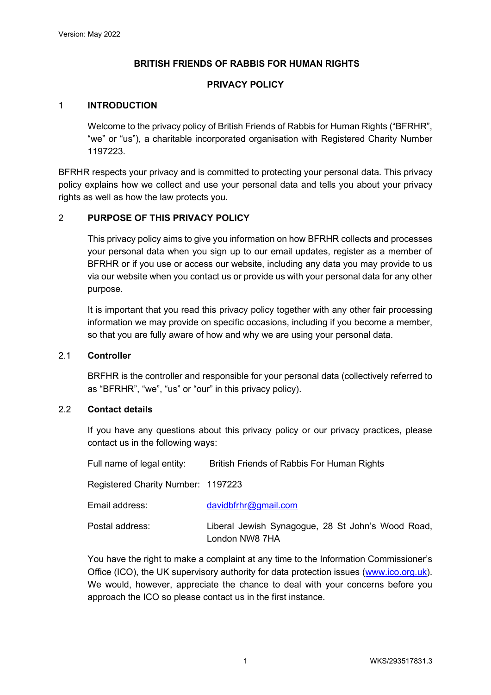### **BRITISH FRIENDS OF RABBIS FOR HUMAN RIGHTS**

### **PRIVACY POLICY**

#### 1 **INTRODUCTION**

Welcome to the privacy policy of British Friends of Rabbis for Human Rights ("BFRHR", "we" or "us"), a charitable incorporated organisation with Registered Charity Number 1197223.

BFRHR respects your privacy and is committed to protecting your personal data. This privacy policy explains how we collect and use your personal data and tells you about your privacy rights as well as how the law protects you.

#### 2 **PURPOSE OF THIS PRIVACY POLICY**

This privacy policy aims to give you information on how BFRHR collects and processes your personal data when you sign up to our email updates, register as a member of BFRHR or if you use or access our website, including any data you may provide to us via our website when you contact us or provide us with your personal data for any other purpose.

It is important that you read this privacy policy together with any other fair processing information we may provide on specific occasions, including if you become a member, so that you are fully aware of how and why we are using your personal data.

#### 2.1 **Controller**

BRFHR is the controller and responsible for your personal data (collectively referred to as "BFRHR", "we", "us" or "our" in this privacy policy).

#### 2.2 **Contact details**

If you have any questions about this privacy policy or our privacy practices, please contact us in the following ways:

Full name of legal entity: British Friends of Rabbis For Human Rights Registered Charity Number: 1197223

| Email address:  | davidbfrhr@gmail.com                                                |
|-----------------|---------------------------------------------------------------------|
| Postal address: | Liberal Jewish Synagogue, 28 St John's Wood Road,<br>London NW8 7HA |

You have the right to make a complaint at any time to the Information Commissioner's Office (ICO), the UK supervisory authority for data protection issues [\(www.ico.org.uk\)](http://www.ico.org.uk/). We would, however, appreciate the chance to deal with your concerns before you approach the ICO so please contact us in the first instance.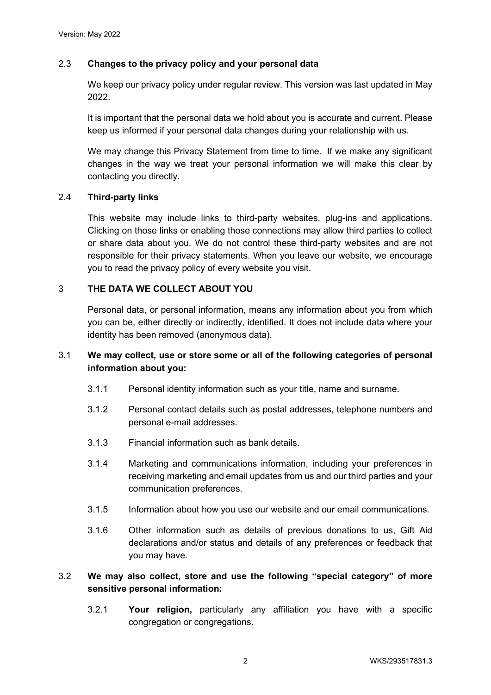### 2.3 **Changes to the privacy policy and your personal data**

We keep our privacy policy under regular review. This version was last updated in May 2022.

It is important that the personal data we hold about you is accurate and current. Please keep us informed if your personal data changes during your relationship with us.

We may change this Privacy Statement from time to time. If we make any significant changes in the way we treat your personal information we will make this clear by contacting you directly.

#### 2.4 **Third-party links**

This website may include links to third-party websites, plug-ins and applications. Clicking on those links or enabling those connections may allow third parties to collect or share data about you. We do not control these third-party websites and are not responsible for their privacy statements. When you leave our website, we encourage you to read the privacy policy of every website you visit.

#### 3 **THE DATA WE COLLECT ABOUT YOU**

Personal data, or personal information, means any information about you from which you can be, either directly or indirectly, identified. It does not include data where your identity has been removed (anonymous data).

# 3.1 **We may collect, use or store some or all of the following categories of personal information about you:**

- 3.1.1 Personal identity information such as your title, name and surname.
- 3.1.2 Personal contact details such as postal addresses, telephone numbers and personal e-mail addresses.
- 3.1.3 Financial information such as bank details.
- 3.1.4 Marketing and communications information, including your preferences in receiving marketing and email updates from us and our third parties and your communication preferences.
- 3.1.5 Information about how you use our website and our email communications.
- 3.1.6 Other information such as details of previous donations to us, Gift Aid declarations and/or status and details of any preferences or feedback that you may have.

# 3.2 **We may also collect, store and use the following "special category" of more sensitive personal information:**

3.2.1 **Your religion,** particularly any affiliation you have with a specific congregation or congregations.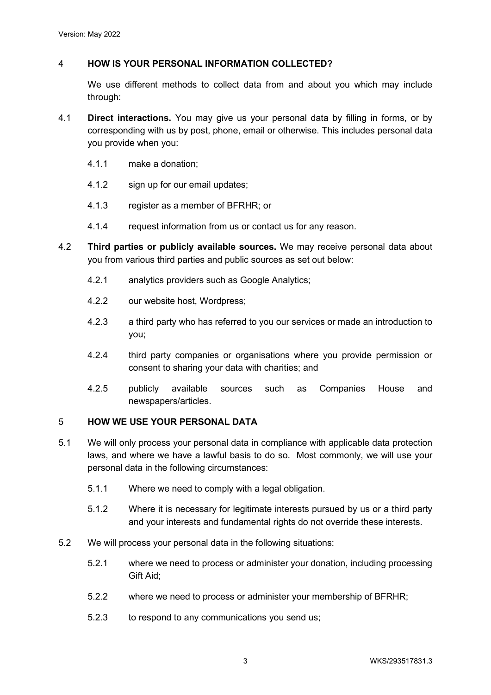### 4 **HOW IS YOUR PERSONAL INFORMATION COLLECTED?**

We use different methods to collect data from and about you which may include through:

- 4.1 **Direct interactions.** You may give us your personal data by filling in forms, or by corresponding with us by post, phone, email or otherwise. This includes personal data you provide when you:
	- 4.1.1 make a donation;
	- 4.1.2 sign up for our email updates;
	- 4.1.3 register as a member of BFRHR; or
	- 4.1.4 request information from us or contact us for any reason.
- 4.2 **Third parties or publicly available sources.** We may receive personal data about you from various third parties and public sources as set out below:
	- 4.2.1 analytics providers such as Google Analytics;
	- 4.2.2 our website host, Wordpress;
	- 4.2.3 a third party who has referred to you our services or made an introduction to you;
	- 4.2.4 third party companies or organisations where you provide permission or consent to sharing your data with charities; and
	- 4.2.5 publicly available sources such as Companies House and newspapers/articles.

#### 5 **HOW WE USE YOUR PERSONAL DATA**

- 5.1 We will only process your personal data in compliance with applicable data protection laws, and where we have a lawful basis to do so. Most commonly, we will use your personal data in the following circumstances:
	- 5.1.1 Where we need to comply with a legal obligation.
	- 5.1.2 Where it is necessary for legitimate interests pursued by us or a third party and your interests and fundamental rights do not override these interests.
- 5.2 We will process your personal data in the following situations:
	- 5.2.1 where we need to process or administer your donation, including processing Gift Aid;
	- 5.2.2 where we need to process or administer your membership of BFRHR;
	- 5.2.3 to respond to any communications you send us;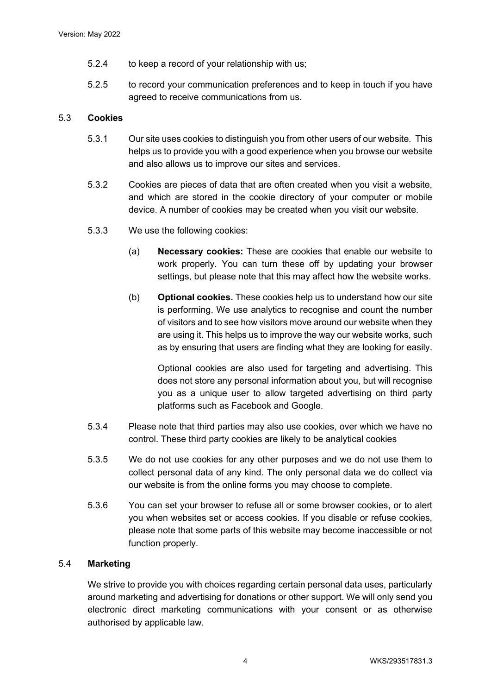- 5.2.4 to keep a record of your relationship with us;
- 5.2.5 to record your communication preferences and to keep in touch if you have agreed to receive communications from us.

### 5.3 **Cookies**

- 5.3.1 Our site uses cookies to distinguish you from other users of our website. This helps us to provide you with a good experience when you browse our website and also allows us to improve our sites and services.
- 5.3.2 Cookies are pieces of data that are often created when you visit a website, and which are stored in the cookie directory of your computer or mobile device. A number of cookies may be created when you visit our website.
- 5.3.3 We use the following cookies:
	- (a) **Necessary cookies:** These are cookies that enable our website to work properly. You can turn these off by updating your browser settings, but please note that this may affect how the website works.
	- (b) **Optional cookies.** These cookies help us to understand how our site is performing. We use analytics to recognise and count the number of visitors and to see how visitors move around our website when they are using it. This helps us to improve the way our website works, such as by ensuring that users are finding what they are looking for easily.

Optional cookies are also used for targeting and advertising. This does not store any personal information about you, but will recognise you as a unique user to allow targeted advertising on third party platforms such as Facebook and Google.

- 5.3.4 Please note that third parties may also use cookies, over which we have no control. These third party cookies are likely to be analytical cookies
- 5.3.5 We do not use cookies for any other purposes and we do not use them to collect personal data of any kind. The only personal data we do collect via our website is from the online forms you may choose to complete.
- 5.3.6 You can set your browser to refuse all or some browser cookies, or to alert you when websites set or access cookies. If you disable or refuse cookies, please note that some parts of this website may become inaccessible or not function properly.

#### 5.4 **Marketing**

We strive to provide you with choices regarding certain personal data uses, particularly around marketing and advertising for donations or other support. We will only send you electronic direct marketing communications with your consent or as otherwise authorised by applicable law.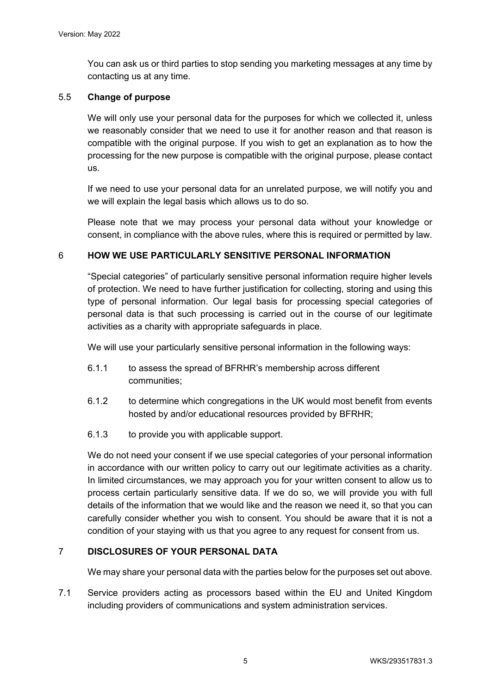You can ask us or third parties to stop sending you marketing messages at any time by contacting us at any time.

#### 5.5 **Change of purpose**

We will only use your personal data for the purposes for which we collected it, unless we reasonably consider that we need to use it for another reason and that reason is compatible with the original purpose. If you wish to get an explanation as to how the processing for the new purpose is compatible with the original purpose, please contact us.

If we need to use your personal data for an unrelated purpose, we will notify you and we will explain the legal basis which allows us to do so.

Please note that we may process your personal data without your knowledge or consent, in compliance with the above rules, where this is required or permitted by law.

#### 6 **HOW WE USE PARTICULARLY SENSITIVE PERSONAL INFORMATION**

"Special categories" of particularly sensitive personal information require higher levels of protection. We need to have further justification for collecting, storing and using this type of personal information. Our legal basis for processing special categories of personal data is that such processing is carried out in the course of our legitimate activities as a charity with appropriate safeguards in place.

We will use your particularly sensitive personal information in the following ways:

- 6.1.1 to assess the spread of BFRHR's membership across different communities;
- 6.1.2 to determine which congregations in the UK would most benefit from events hosted by and/or educational resources provided by BFRHR;
- 6.1.3 to provide you with applicable support.

We do not need your consent if we use special categories of your personal information in accordance with our written policy to carry out our legitimate activities as a charity. In limited circumstances, we may approach you for your written consent to allow us to process certain particularly sensitive data. If we do so, we will provide you with full details of the information that we would like and the reason we need it, so that you can carefully consider whether you wish to consent. You should be aware that it is not a condition of your staying with us that you agree to any request for consent from us.

#### 7 **DISCLOSURES OF YOUR PERSONAL DATA**

We may share your personal data with the parties below for the purposes set out above.

7.1 Service providers acting as processors based within the EU and United Kingdom including providers of communications and system administration services.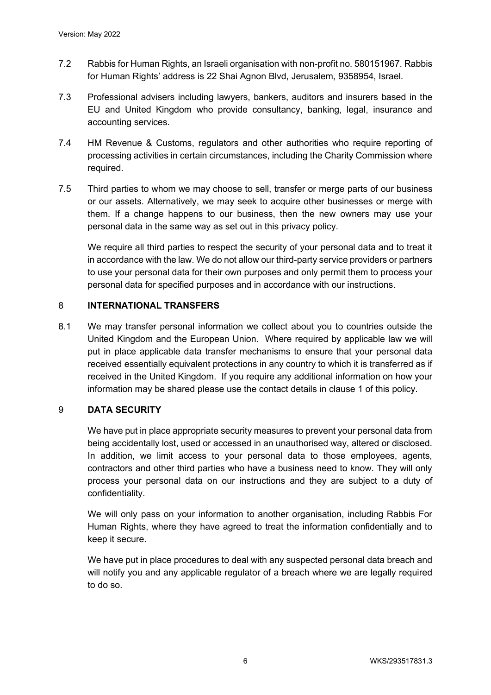- 7.2 Rabbis for Human Rights, an Israeli organisation with non-profit no. 580151967. Rabbis for Human Rights' address is 22 Shai Agnon Blvd, Jerusalem, 9358954, Israel.
- 7.3 Professional advisers including lawyers, bankers, auditors and insurers based in the EU and United Kingdom who provide consultancy, banking, legal, insurance and accounting services.
- 7.4 HM Revenue & Customs, regulators and other authorities who require reporting of processing activities in certain circumstances, including the Charity Commission where required.
- 7.5 Third parties to whom we may choose to sell, transfer or merge parts of our business or our assets. Alternatively, we may seek to acquire other businesses or merge with them. If a change happens to our business, then the new owners may use your personal data in the same way as set out in this privacy policy.

We require all third parties to respect the security of your personal data and to treat it in accordance with the law. We do not allow our third-party service providers or partners to use your personal data for their own purposes and only permit them to process your personal data for specified purposes and in accordance with our instructions.

#### 8 **INTERNATIONAL TRANSFERS**

8.1 We may transfer personal information we collect about you to countries outside the United Kingdom and the European Union. Where required by applicable law we will put in place applicable data transfer mechanisms to ensure that your personal data received essentially equivalent protections in any country to which it is transferred as if received in the United Kingdom. If you require any additional information on how your information may be shared please use the contact details in clause 1 of this policy.

#### 9 **DATA SECURITY**

We have put in place appropriate security measures to prevent your personal data from being accidentally lost, used or accessed in an unauthorised way, altered or disclosed. In addition, we limit access to your personal data to those employees, agents, contractors and other third parties who have a business need to know. They will only process your personal data on our instructions and they are subject to a duty of confidentiality.

We will only pass on your information to another organisation, including Rabbis For Human Rights, where they have agreed to treat the information confidentially and to keep it secure.

We have put in place procedures to deal with any suspected personal data breach and will notify you and any applicable regulator of a breach where we are legally required to do so.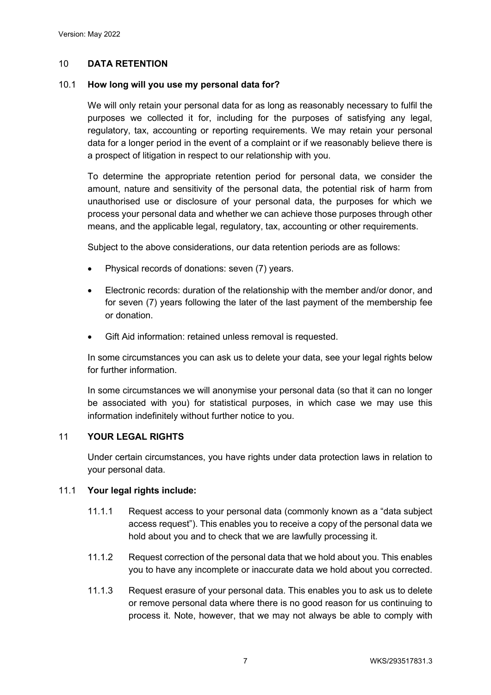### 10 **DATA RETENTION**

#### 10.1 **How long will you use my personal data for?**

We will only retain your personal data for as long as reasonably necessary to fulfil the purposes we collected it for, including for the purposes of satisfying any legal, regulatory, tax, accounting or reporting requirements. We may retain your personal data for a longer period in the event of a complaint or if we reasonably believe there is a prospect of litigation in respect to our relationship with you.

To determine the appropriate retention period for personal data, we consider the amount, nature and sensitivity of the personal data, the potential risk of harm from unauthorised use or disclosure of your personal data, the purposes for which we process your personal data and whether we can achieve those purposes through other means, and the applicable legal, regulatory, tax, accounting or other requirements.

Subject to the above considerations, our data retention periods are as follows:

- Physical records of donations: seven (7) years.
- Electronic records: duration of the relationship with the member and/or donor, and for seven (7) years following the later of the last payment of the membership fee or donation.
- Gift Aid information: retained unless removal is requested.

In some circumstances you can ask us to delete your data, see your legal rights below for further information.

In some circumstances we will anonymise your personal data (so that it can no longer be associated with you) for statistical purposes, in which case we may use this information indefinitely without further notice to you.

#### 11 **YOUR LEGAL RIGHTS**

Under certain circumstances, you have rights under data protection laws in relation to your personal data.

#### 11.1 **Your legal rights include:**

- 11.1.1 Request access to your personal data (commonly known as a "data subject access request"). This enables you to receive a copy of the personal data we hold about you and to check that we are lawfully processing it.
- 11.1.2 Request correction of the personal data that we hold about you. This enables you to have any incomplete or inaccurate data we hold about you corrected.
- 11.1.3 Request erasure of your personal data. This enables you to ask us to delete or remove personal data where there is no good reason for us continuing to process it. Note, however, that we may not always be able to comply with